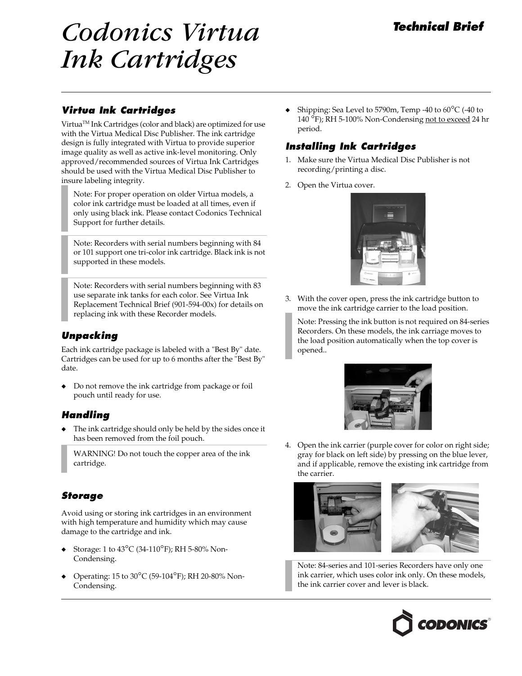# Codonics Virtua Technical Brief Ink Cartridges

#### Virtua Ink Cartridges

VirtuaTM Ink Cartridges (color and black) are optimized for use with the Virtua Medical Disc Publisher. The ink cartridge design is fully integrated with Virtua to provide superior image quality as well as active ink-level monitoring. Only approved/recommended sources of Virtua Ink Cartridges should be used with the Virtua Medical Disc Publisher to insure labeling integrity.

Note: For proper operation on older Virtua models, a color ink cartridge must be loaded at all times, even if only using black ink. Please contact Codonics Technical Support for further details.

Note: Recorders with serial numbers beginning with 84 or 101 support one tri-color ink cartridge. Black ink is not supported in these models.

Note: Recorders with serial numbers beginning with 83 use separate ink tanks for each color. See Virtua Ink Replacement Technical Brief (901-594-00x) for details on replacing ink with these Recorder models.

#### Unpacking

Each ink cartridge package is labeled with a "Best By" date. Cartridges can be used for up to 6 months after the "Best By" date.

Do not remove the ink cartridge from package or foil pouch until ready for use.

#### Handling

The ink cartridge should only be held by the sides once it has been removed from the foil pouch.

WARNING! Do not touch the copper area of the ink cartridge.

#### Storage

Avoid using or storing ink cartridges in an environment with high temperature and humidity which may cause damage to the cartridge and ink.

- Storage: 1 to  $43^{\circ}$ C (34-110<sup>o</sup>F); RH 5-80% Non-Condensing.
- Operating: 15 to  $30^{\circ}$ C (59-104 $^{\circ}$ F); RH 20-80% Non-Condensing.

Shipping: Sea Level to 5790m, Temp -40 to  $60^{\circ}$ C (-40 to <sup>140</sup>°F); RH 5-100% Non-Condensing not to exceed 24 hr period.

### Installing Ink Cartridges

- 1. Make sure the Virtua Medical Disc Publisher is not recording/printing a disc.
- 2. Open the Virtua cover.



3. With the cover open, press the ink cartridge button to move the ink cartridge carrier to the load position.

Note: Pressing the ink button is not required on 84-series Recorders. On these models, the ink carriage moves to the load position automatically when the top cover is opened..



4. Open the ink carrier (purple cover for color on right side; gray for black on left side) by pressing on the blue lever, and if applicable, remove the existing ink cartridge from the carrier.



Note: 84-series and 101-series Recorders have only one ink carrier, which uses color ink only. On these models, the ink carrier cover and lever is black.